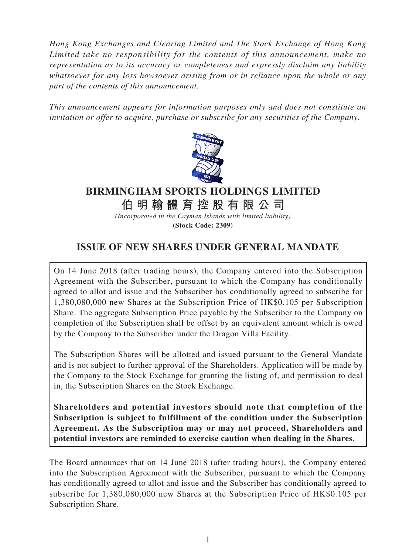*Hong Kong Exchanges and Clearing Limited and The Stock Exchange of Hong Kong Limited take no responsibility for the contents of this announcement, make no representation as to its accuracy or completeness and expressly disclaim any liability whatsoever for any loss howsoever arising from or in reliance upon the whole or any part of the contents of this announcement.*

*This announcement appears for information purposes only and does not constitute an invitation or offer to acquire, purchase or subscribe for any securities of the Company.*



# **BIRMINGHAM SPORTS HOLDINGS LIMITED 伯明翰體育控股有限公司**

*(Incorporated in the Cayman Islands with limited liability)* **(Stock Code: 2309)**

## **ISSUE OF NEW SHARES UNDER GENERAL MANDATE**

On 14 June 2018 (after trading hours), the Company entered into the Subscription Agreement with the Subscriber, pursuant to which the Company has conditionally agreed to allot and issue and the Subscriber has conditionally agreed to subscribe for 1,380,080,000 new Shares at the Subscription Price of HK\$0.105 per Subscription Share. The aggregate Subscription Price payable by the Subscriber to the Company on completion of the Subscription shall be offset by an equivalent amount which is owed by the Company to the Subscriber under the Dragon Villa Facility.

The Subscription Shares will be allotted and issued pursuant to the General Mandate and is not subject to further approval of the Shareholders. Application will be made by the Company to the Stock Exchange for granting the listing of, and permission to deal in, the Subscription Shares on the Stock Exchange.

**Shareholders and potential investors should note that completion of the Subscription is subject to fulfillment of the condition under the Subscription Agreement. As the Subscription may or may not proceed, Shareholders and potential investors are reminded to exercise caution when dealing in the Shares.**

The Board announces that on 14 June 2018 (after trading hours), the Company entered into the Subscription Agreement with the Subscriber, pursuant to which the Company has conditionally agreed to allot and issue and the Subscriber has conditionally agreed to subscribe for 1,380,080,000 new Shares at the Subscription Price of HK\$0.105 per Subscription Share.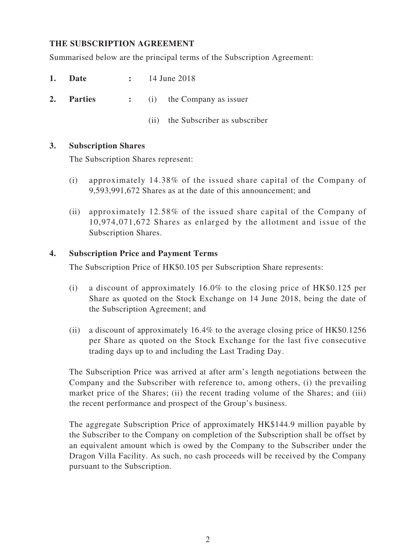#### **THE SUBSCRIPTION AGREEMENT**

Summarised below are the principal terms of the Subscription Agreement:

- **1. Date :** 14 June 2018
- **2. Parties :** (i) the Company as issuer
	- (ii) the Subscriber as subscriber

#### **3. Subscription Shares**

The Subscription Shares represent:

- (i) approximately 14.38% of the issued share capital of the Company of 9,593,991,672 Shares as at the date of this announcement; and
- (ii) approximately 12.58% of the issued share capital of the Company of 10,974,071,672 Shares as enlarged by the allotment and issue of the Subscription Shares.

#### **4. Subscription Price and Payment Terms**

The Subscription Price of HK\$0.105 per Subscription Share represents:

- (i) a discount of approximately 16.0% to the closing price of HK\$0.125 per Share as quoted on the Stock Exchange on 14 June 2018, being the date of the Subscription Agreement; and
- (ii) a discount of approximately 16.4% to the average closing price of HK\$0.1256 per Share as quoted on the Stock Exchange for the last five consecutive trading days up to and including the Last Trading Day.

The Subscription Price was arrived at after arm's length negotiations between the Company and the Subscriber with reference to, among others, (i) the prevailing market price of the Shares; (ii) the recent trading volume of the Shares; and (iii) the recent performance and prospect of the Group's business.

The aggregate Subscription Price of approximately HK\$144.9 million payable by the Subscriber to the Company on completion of the Subscription shall be offset by an equivalent amount which is owed by the Company to the Subscriber under the Dragon Villa Facility. As such, no cash proceeds will be received by the Company pursuant to the Subscription.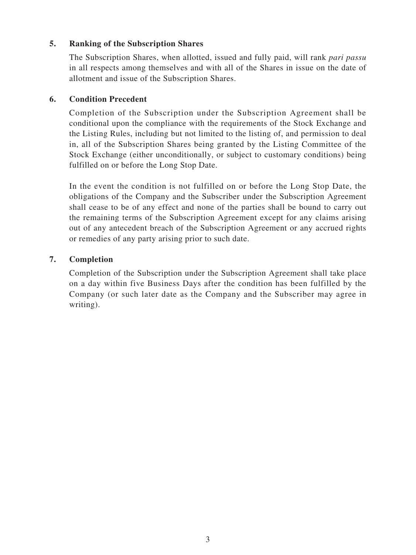#### **5. Ranking of the Subscription Shares**

The Subscription Shares, when allotted, issued and fully paid, will rank *pari passu*  in all respects among themselves and with all of the Shares in issue on the date of allotment and issue of the Subscription Shares.

#### **6. Condition Precedent**

Completion of the Subscription under the Subscription Agreement shall be conditional upon the compliance with the requirements of the Stock Exchange and the Listing Rules, including but not limited to the listing of, and permission to deal in, all of the Subscription Shares being granted by the Listing Committee of the Stock Exchange (either unconditionally, or subject to customary conditions) being fulfilled on or before the Long Stop Date.

In the event the condition is not fulfilled on or before the Long Stop Date, the obligations of the Company and the Subscriber under the Subscription Agreement shall cease to be of any effect and none of the parties shall be bound to carry out the remaining terms of the Subscription Agreement except for any claims arising out of any antecedent breach of the Subscription Agreement or any accrued rights or remedies of any party arising prior to such date.

#### **7. Completion**

Completion of the Subscription under the Subscription Agreement shall take place on a day within five Business Days after the condition has been fulfilled by the Company (or such later date as the Company and the Subscriber may agree in writing).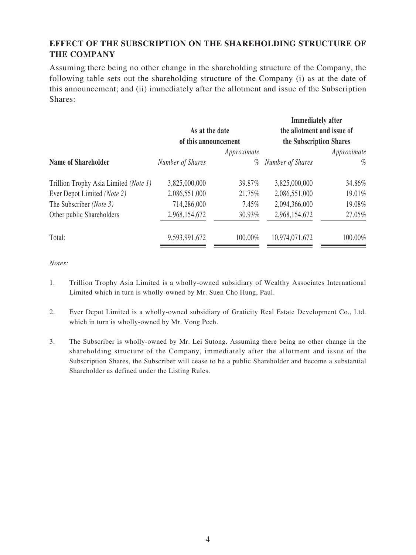## **EFFECT OF THE SUBSCRIPTION ON THE SHAREHOLDING STRUCTURE OF THE COMPANY**

Assuming there being no other change in the shareholding structure of the Company, the following table sets out the shareholding structure of the Company (i) as at the date of this announcement; and (ii) immediately after the allotment and issue of the Subscription Shares:

 $\overline{a}$ 

|                                        |         | <b>Immediately after</b>                              |         |
|----------------------------------------|---------|-------------------------------------------------------|---------|
| As at the date<br>of this announcement |         | the allotment and issue of<br>the Subscription Shares |         |
|                                        |         |                                                       |         |
| Number of Shares                       | %       | Number of Shares                                      | $\%$    |
| 3,825,000,000                          | 39.87%  | 3,825,000,000                                         | 34.86%  |
| 2,086,551,000                          | 21.75%  | 2,086,551,000                                         | 19.01%  |
| 714,286,000                            | 7.45%   | 2,094,366,000                                         | 19.08%  |
| 2,968,154,672                          | 30.93%  | 2,968,154,672                                         | 27.05%  |
| 9,593,991,672                          | 100.00% | 10,974,071,672                                        | 100.00% |
|                                        |         |                                                       |         |

*Notes:*

- 1. Trillion Trophy Asia Limited is a wholly-owned subsidiary of Wealthy Associates International Limited which in turn is wholly-owned by Mr. Suen Cho Hung, Paul.
- 2. Ever Depot Limited is a wholly-owned subsidiary of Graticity Real Estate Development Co., Ltd. which in turn is wholly-owned by Mr. Vong Pech.
- 3. The Subscriber is wholly-owned by Mr. Lei Sutong. Assuming there being no other change in the shareholding structure of the Company, immediately after the allotment and issue of the Subscription Shares, the Subscriber will cease to be a public Shareholder and become a substantial Shareholder as defined under the Listing Rules.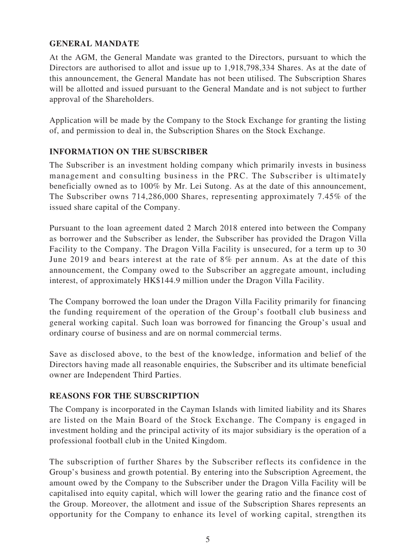### **GENERAL MANDATE**

At the AGM, the General Mandate was granted to the Directors, pursuant to which the Directors are authorised to allot and issue up to 1,918,798,334 Shares. As at the date of this announcement, the General Mandate has not been utilised. The Subscription Shares will be allotted and issued pursuant to the General Mandate and is not subject to further approval of the Shareholders.

Application will be made by the Company to the Stock Exchange for granting the listing of, and permission to deal in, the Subscription Shares on the Stock Exchange.

#### **INFORMATION ON THE SUBSCRIBER**

The Subscriber is an investment holding company which primarily invests in business management and consulting business in the PRC. The Subscriber is ultimately beneficially owned as to 100% by Mr. Lei Sutong. As at the date of this announcement, The Subscriber owns 714,286,000 Shares, representing approximately 7.45% of the issued share capital of the Company.

Pursuant to the loan agreement dated 2 March 2018 entered into between the Company as borrower and the Subscriber as lender, the Subscriber has provided the Dragon Villa Facility to the Company. The Dragon Villa Facility is unsecured, for a term up to 30 June 2019 and bears interest at the rate of 8% per annum. As at the date of this announcement, the Company owed to the Subscriber an aggregate amount, including interest, of approximately HK\$144.9 million under the Dragon Villa Facility.

The Company borrowed the loan under the Dragon Villa Facility primarily for financing the funding requirement of the operation of the Group's football club business and general working capital. Such loan was borrowed for financing the Group's usual and ordinary course of business and are on normal commercial terms.

Save as disclosed above, to the best of the knowledge, information and belief of the Directors having made all reasonable enquiries, the Subscriber and its ultimate beneficial owner are Independent Third Parties.

#### **REASONS FOR THE SUBSCRIPTION**

The Company is incorporated in the Cayman Islands with limited liability and its Shares are listed on the Main Board of the Stock Exchange. The Company is engaged in investment holding and the principal activity of its major subsidiary is the operation of a professional football club in the United Kingdom.

The subscription of further Shares by the Subscriber reflects its confidence in the Group's business and growth potential. By entering into the Subscription Agreement, the amount owed by the Company to the Subscriber under the Dragon Villa Facility will be capitalised into equity capital, which will lower the gearing ratio and the finance cost of the Group. Moreover, the allotment and issue of the Subscription Shares represents an opportunity for the Company to enhance its level of working capital, strengthen its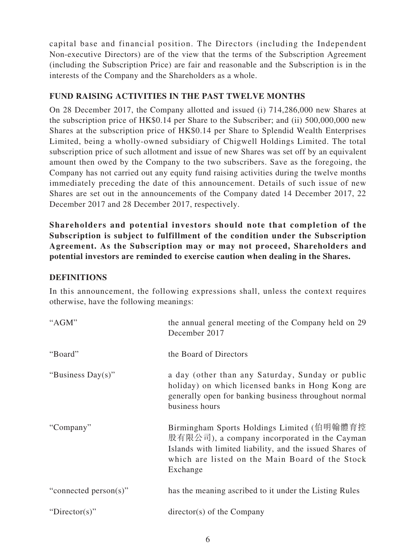capital base and financial position. The Directors (including the Independent Non-executive Directors) are of the view that the terms of the Subscription Agreement (including the Subscription Price) are fair and reasonable and the Subscription is in the interests of the Company and the Shareholders as a whole.

#### **FUND RAISING ACTIVITIES IN THE PAST TWELVE MONTHS**

On 28 December 2017, the Company allotted and issued (i) 714,286,000 new Shares at the subscription price of HK\$0.14 per Share to the Subscriber; and (ii) 500,000,000 new Shares at the subscription price of HK\$0.14 per Share to Splendid Wealth Enterprises Limited, being a wholly-owned subsidiary of Chigwell Holdings Limited. The total subscription price of such allotment and issue of new Shares was set off by an equivalent amount then owed by the Company to the two subscribers. Save as the foregoing, the Company has not carried out any equity fund raising activities during the twelve months immediately preceding the date of this announcement. Details of such issue of new Shares are set out in the announcements of the Company dated 14 December 2017, 22 December 2017 and 28 December 2017, respectively.

**Shareholders and potential investors should note that completion of the Subscription is subject to fulfillment of the condition under the Subscription Agreement. As the Subscription may or may not proceed, Shareholders and potential investors are reminded to exercise caution when dealing in the Shares.**

#### **DEFINITIONS**

In this announcement, the following expressions shall, unless the context requires otherwise, have the following meanings:

| "AGM"                 | the annual general meeting of the Company held on 29<br>December 2017                                                                                                                                                 |
|-----------------------|-----------------------------------------------------------------------------------------------------------------------------------------------------------------------------------------------------------------------|
| "Board"               | the Board of Directors                                                                                                                                                                                                |
| "Business Day(s)"     | a day (other than any Saturday, Sunday or public<br>holiday) on which licensed banks in Hong Kong are<br>generally open for banking business throughout normal<br>business hours                                      |
| "Company"             | Birmingham Sports Holdings Limited (伯明翰體育控<br>股有限公司), a company incorporated in the Cayman<br>Islands with limited liability, and the issued Shares of<br>which are listed on the Main Board of the Stock<br>Exchange |
| "connected person(s)" | has the meaning ascribed to it under the Listing Rules                                                                                                                                                                |
| "Director(s)"         | $\text{directory}(s)$ of the Company                                                                                                                                                                                  |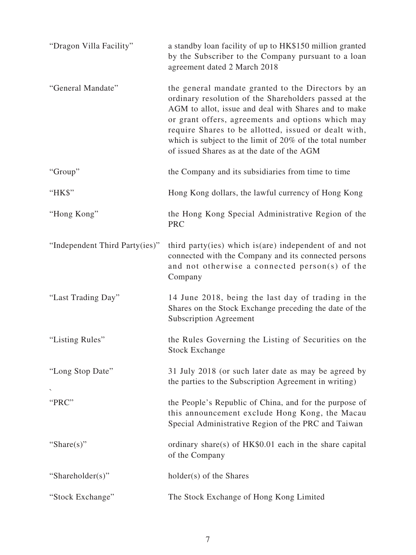| "Dragon Villa Facility"        | a standby loan facility of up to HK\$150 million granted<br>by the Subscriber to the Company pursuant to a loan<br>agreement dated 2 March 2018                                                                                                                                                                                                                                            |
|--------------------------------|--------------------------------------------------------------------------------------------------------------------------------------------------------------------------------------------------------------------------------------------------------------------------------------------------------------------------------------------------------------------------------------------|
| "General Mandate"              | the general mandate granted to the Directors by an<br>ordinary resolution of the Shareholders passed at the<br>AGM to allot, issue and deal with Shares and to make<br>or grant offers, agreements and options which may<br>require Shares to be allotted, issued or dealt with,<br>which is subject to the limit of 20% of the total number<br>of issued Shares as at the date of the AGM |
| "Group"                        | the Company and its subsidiaries from time to time                                                                                                                                                                                                                                                                                                                                         |
| "HK\$"                         | Hong Kong dollars, the lawful currency of Hong Kong                                                                                                                                                                                                                                                                                                                                        |
| "Hong Kong"                    | the Hong Kong Special Administrative Region of the<br><b>PRC</b>                                                                                                                                                                                                                                                                                                                           |
| "Independent Third Party(ies)" | third party (ies) which is (are) independent of and not<br>connected with the Company and its connected persons<br>and not otherwise a connected person(s) of the<br>Company                                                                                                                                                                                                               |
| "Last Trading Day"             | 14 June 2018, being the last day of trading in the<br>Shares on the Stock Exchange preceding the date of the<br><b>Subscription Agreement</b>                                                                                                                                                                                                                                              |
| "Listing Rules"                | the Rules Governing the Listing of Securities on the<br><b>Stock Exchange</b>                                                                                                                                                                                                                                                                                                              |
| "Long Stop Date"               | 31 July 2018 (or such later date as may be agreed by<br>the parties to the Subscription Agreement in writing)                                                                                                                                                                                                                                                                              |
| "PRC"                          | the People's Republic of China, and for the purpose of<br>this announcement exclude Hong Kong, the Macau<br>Special Administrative Region of the PRC and Taiwan                                                                                                                                                                                                                            |
| "Share $(s)$ "                 | ordinary share(s) of HK\$0.01 each in the share capital<br>of the Company                                                                                                                                                                                                                                                                                                                  |
| "Shareholder(s)"               | holder(s) of the Shares                                                                                                                                                                                                                                                                                                                                                                    |
| "Stock Exchange"               | The Stock Exchange of Hong Kong Limited                                                                                                                                                                                                                                                                                                                                                    |